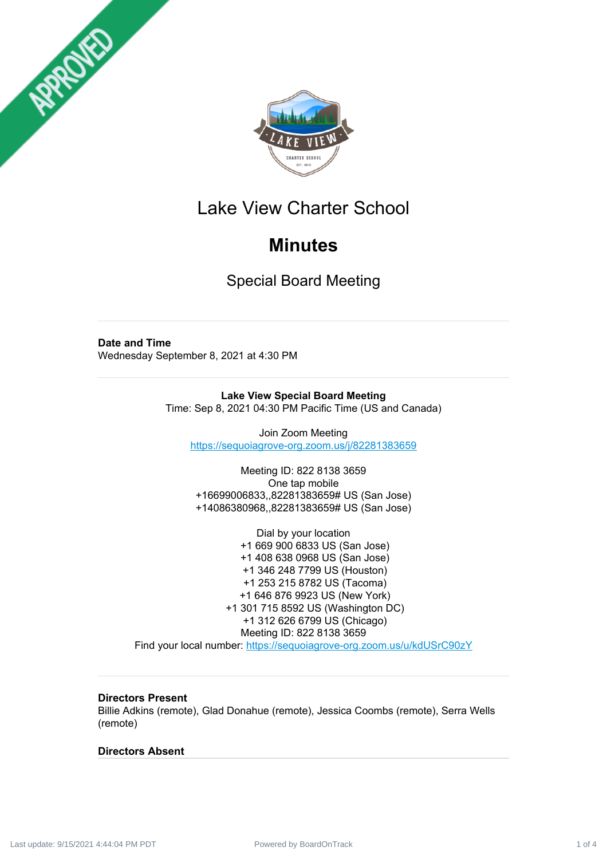



# Lake View Charter School

# **Minutes**

Special Board Meeting

## **Date and Time**

Wednesday September 8, 2021 at 4:30 PM

**Lake View Special Board Meeting** Time: Sep 8, 2021 04:30 PM Pacific Time (US and Canada)

Join Zoom Meeting <https://sequoiagrove-org.zoom.us/j/82281383659>

Meeting ID: 822 8138 3659 One tap mobile +16699006833,,82281383659# US (San Jose) +14086380968,,82281383659# US (San Jose)

Dial by your location +1 669 900 6833 US (San Jose) +1 408 638 0968 US (San Jose) +1 346 248 7799 US (Houston) +1 253 215 8782 US (Tacoma) +1 646 876 9923 US (New York) +1 301 715 8592 US (Washington DC) +1 312 626 6799 US (Chicago) Meeting ID: 822 8138 3659

Find your local number: <https://sequoiagrove-org.zoom.us/u/kdUSrC90zY>

## **Directors Present**

Billie Adkins (remote), Glad Donahue (remote), Jessica Coombs (remote), Serra Wells (remote)

### **Directors Absent**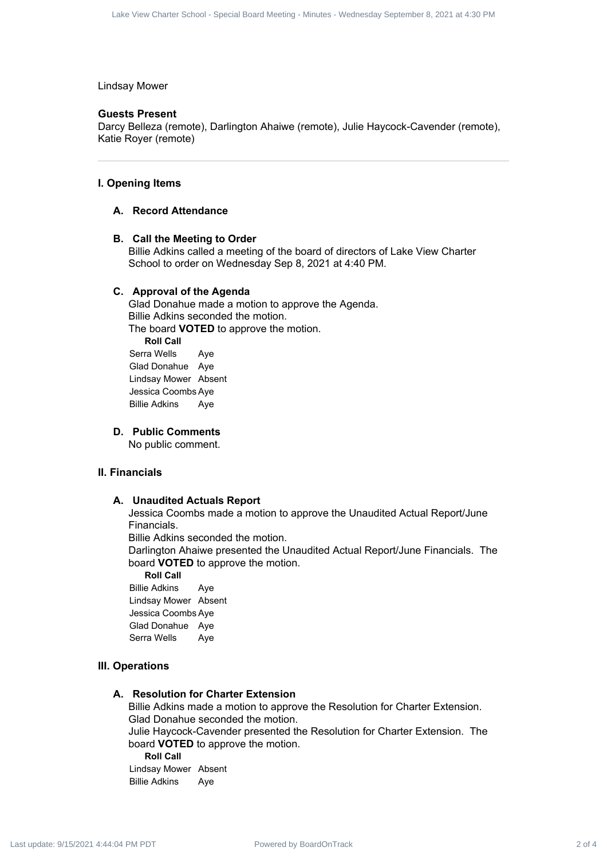#### Lindsay Mower

#### **Guests Present**

Darcy Belleza (remote), Darlington Ahaiwe (remote), Julie Haycock-Cavender (remote), Katie Royer (remote)

#### **I. Opening Items**

#### **A. Record Attendance**

#### **B. Call the Meeting to Order**

Billie Adkins called a meeting of the board of directors of Lake View Charter School to order on Wednesday Sep 8, 2021 at 4:40 PM.

#### **C. Approval of the Agenda**

Glad Donahue made a motion to approve the Agenda. Billie Adkins seconded the motion. The board **VOTED** to approve the motion. **Roll Call** Serra Wells Aye Glad Donahue Aye Lindsay Mower Absent Jessica Coombs Aye Billie Adkins Aye Power Contract 2 of 4 Lake View Charter School - Special Board Charter School - Special Board Charter School - Special Board Meeting - Minutes - Wednesday September 8, 2021 at 4:30 PM Lacked Meeting - Special Board Meeting

**D. Public Comments**

No public comment.

#### **II. Financials**

#### **A. Unaudited Actuals Report**

Jessica Coombs made a motion to approve the Unaudited Actual Report/June Financials.

Billie Adkins seconded the motion.

Darlington Ahaiwe presented the Unaudited Actual Report/June Financials. The board **VOTED** to approve the motion.

**Roll Call** Billie Adkins Aye Lindsay Mower Absent Jessica Coombs Aye

Glad Donahue Aye Serra Wells Aye

#### **III. Operations**

#### **A. Resolution for Charter Extension**

Billie Adkins made a motion to approve the Resolution for Charter Extension. Glad Donahue seconded the motion. Julie Haycock-Cavender presented the Resolution for Charter Extension. The board **VOTED** to approve the motion. **Roll Call**

Lindsay Mower Absent Billie Adkins Aye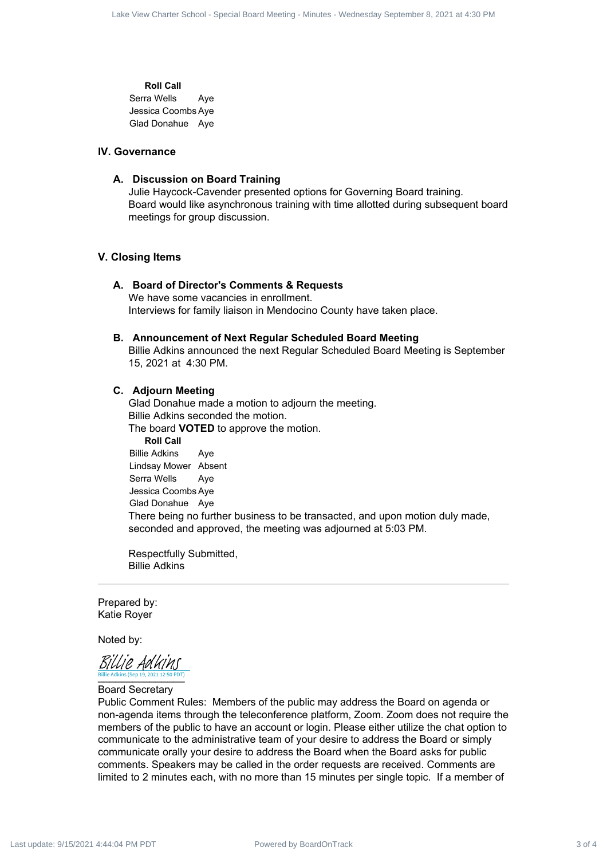**Roll Call** Serra Wells Aye Jessica Coombs Aye Glad Donahue Aye

#### **IV. Governance**

#### **A. Discussion on Board Training**

Julie Haycock-Cavender presented options for Governing Board training. Board would like asynchronous training with time allotted during subsequent board meetings for group discussion.

#### **V. Closing Items**

#### **A. Board of Director's Comments & Requests** We have some vacancies in enrollment. Interviews for family liaison in Mendocino County have taken place.

## **B. Announcement of Next Regular Scheduled Board Meeting**

Billie Adkins announced the next Regular Scheduled Board Meeting is September 15, 2021 at 4:30 PM.

#### **C. Adjourn Meeting**

Glad Donahue made a motion to adjourn the meeting. Billie Adkins seconded the motion. The board **VOTED** to approve the motion. **Roll Call** Billie Adkins Aye Lindsay Mower Absent Serra Wells Aye Jessica Coombs Aye Glad Donahue Aye There being no further business to be transacted, and upon motion duly made, seconded and approved, the meeting was adjourned at 5:03 PM. onto You Contract 4 Lake View Charter School - Special Board Meeting - Special Board - Special Board - Special Board Meeting - Minutes - Minutes - Minutes - Minutes - Minutes - Minutes - Minutes - Minutes - Minutes - Mi

Respectfully Submitted, Billie Adkins

Prepared by: Katie Royer

Noted by:

Billie Adkins (Sep 19, 2021 12:50 PDT)<br>N Billie Adkins (Sep 19, 2021 12:50 PDT) [Billie Adkins](https://na2.documents.adobe.com/verifier?tx=CBJCHBCAABAA6BLzyPzWjzbLfplGzoi-oGmf2TCimsX6)

Board Secretary

Public Comment Rules: Members of the public may address the Board on agenda or non-agenda items through the teleconference platform, Zoom. Zoom does not require the members of the public to have an account or login. Please either utilize the chat option to communicate to the administrative team of your desire to address the Board or simply communicate orally your desire to address the Board when the Board asks for public comments. Speakers may be called in the order requests are received. Comments are limited to 2 minutes each, with no more than 15 minutes per single topic. If a member of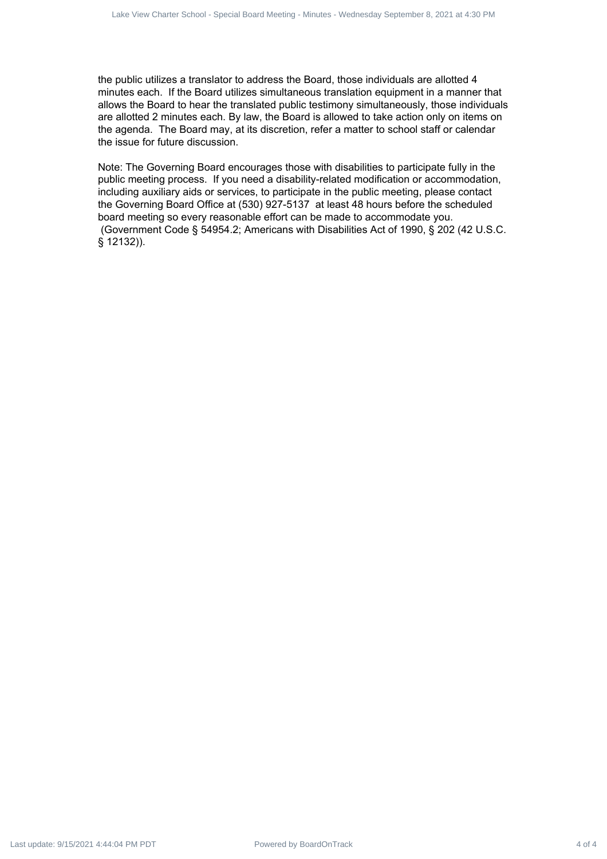the public utilizes a translator to address the Board, those individuals are allotted 4 minutes each. If the Board utilizes simultaneous translation equipment in a manner that allows the Board to hear the translated public testimony simultaneously, those individuals are allotted 2 minutes each. By law, the Board is allowed to take action only on items on the agenda. The Board may, at its discretion, refer a matter to school staff or calendar the issue for future discussion.

Note: The Governing Board encourages those with disabilities to participate fully in the public meeting process. If you need a disability-related modification or accommodation, including auxiliary aids or services, to participate in the public meeting, please contact the Governing Board Office at (530) 927-5137 at least 48 hours before the scheduled board meeting so every reasonable effort can be made to accommodate you. (Government Code § 54954.2; Americans with Disabilities Act of 1990, § 202 (42 U.S.C. § 12132)).  $\frac{1}{2}$  of 4  $\frac{1}{2}$  at  $\frac{1}{2}$  at  $\frac{1}{2}$  at  $\frac{1}{2}$  at  $\frac{1}{2}$  at  $\frac{1}{2}$  at  $\frac{1}{2}$  at  $\frac{1}{2}$  at  $\frac{1}{2}$  at  $\frac{1}{2}$  at  $\frac{1}{2}$  at  $\frac{1}{2}$  at  $\frac{1}{2}$  at  $\frac{1}{2}$  at  $\frac{1}{2}$  at  $\frac{1}{2}$  a